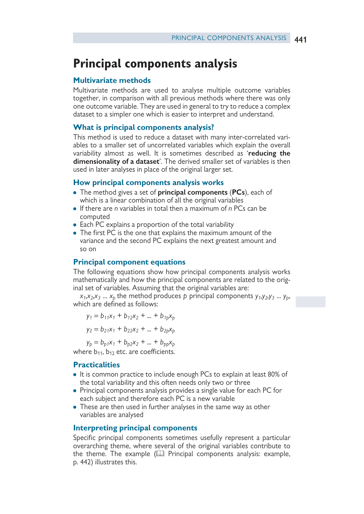## **Principal components analysis**

### **Multivariate methods**

Multivariate methods are used to analyse multiple outcome variables together, in comparison with all previous methods where there was only one outcome variable. They are used in general to try to reduce a complex dataset to a simpler one which is easier to interpret and understand.

### **What is principal components analysis?**

This method is used to reduce a dataset with many inter-correlated variables to a smaller set of uncorrelated variables which explain the overall variability almost as well. It is sometimes described as '**reducing the dimensionality of a dataset**'. The derived smaller set of variables is then used in later analyses in place of the original larger set.

### **How principal components analysis works**

- The method gives a set of **principal components** (**PCs**), each of which is a linear combination of all the original variables
- If there are *n* variables in total then a maximum of *n* PCs can be computed
- Each PC explains a proportion of the total variability
- The first PC is the one that explains the maximum amount of the variance and the second PC explains the next greatest amount and so on

### **Principal component equations**

The following equations show how principal components analysis works mathematically and how the principal components are related to the original set of variables. Assuming that the original variables are:

 $x_1, x_2, x_3$  ...  $x_0$  the method produces p principal components  $y_1, y_2, y_3$  ...  $y_p$ , which are defined as follows:

$$
y_1 = b_{11}x_1 + b_{12}x_2 + \dots + b_{1p}x_p
$$

$$
y_2 = b_{21}x_1 + b_{22}x_2 + \dots + b_{2p}x_p
$$

 $y_p = b_{p1}x_1 + b_{p2}x_2 + ... + b_{pp}x_p$ 

where  $b_{11}$ ,  $b_{12}$  etc. are coefficients.

### **Practicalities**

- It is common practice to include enough PCs to explain at least 80% of the total variability and this often needs only two or three
- Principal components analysis provides a single value for each PC for each subject and therefore each PC is a new variable
- These are then used in further analyses in the same way as other variables are analysed

### **Interpreting principal components**

Specific principal components sometimes usefully represent a particular overarching theme, where several of the original variables contribute to the theme. The example  $[4]$  Principal components analysis: example, p. 442) illustrates this.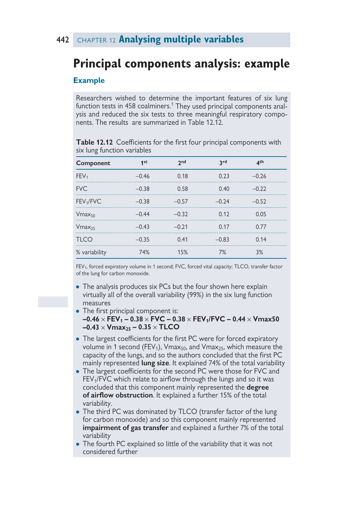### <sup>442</sup> CHAPTER 12 **Analysing multiple variables**

# **Principal components analysis: example**

### **Example**

Researchers wished to determine the important features of six lung function tests in 458 coalminers.<sup>1</sup> They used principal components analysis and reduced the six tests to three meaningful respiratory components. The results are summarized in Table 12.12.

**Table 12.12** Coefficients for the first four principal components with six lung function variables

| Component             | 4st     | 2 <sub>nd</sub> | <b>2rd</b> |         |  |
|-----------------------|---------|-----------------|------------|---------|--|
| FEV <sub>1</sub>      | $-0.46$ | 0.18<br>        | 0.23       | $-0.26$ |  |
| <b>FVC</b>            | $-0.38$ | 0.58            | 0.40       | $-0.22$ |  |
| FEV <sub>1</sub> /FVC | $-0.38$ | $-0.57$         | $-0.24$    | $-0.52$ |  |
| $V$ ma $x_{50}$       | $-0.44$ | $-0.32$         | 0.12       | 0 Q 5   |  |
| $V$ max <sub>25</sub> | $-0.43$ | $-0.21$         | 0.17       | 0.77    |  |
| <b>TLCO</b>           | $-0.35$ | 0.41            | $-0.83$    | 0.14    |  |
| % variability         | 74%     | 15%             | 7%         | 3%      |  |

FEV<sub>1</sub>, forced expiratory volume in 1 second; FVC, forced vital capacity; TLCO, transfer factor of the lung for carbon monoxide.

- The analysis produces six PCs but the four shown here explain virtually all of the overall variability (99%) in the six lung function measures
- The first principal component is:
	- **–0.46** x **FEV1 0.38** x **FVC 0.38** x **FEV1/FVC 0.44** x **Vmax50**   $-0.43 \times$  Vmax<sub>25</sub> – 0.35  $\times$  TLCO
- The largest coefficients for the first PC were for forced expiratory volume in 1 second (FEV<sub>1</sub>), Vmax<sub>50</sub>, and Vmax<sub>25</sub>, which measure the capacity of the lungs, and so the authors concluded that the first PC mainly represented **lung size**. It explained 74% of the total variability
- The largest coefficients for the second PC were those for FVC and  $FEV<sub>1</sub>/FVC$  which relate to airflow through the lungs and so it was concluded that this component mainly represented the **degree of airflow obstruction**. It explained a further 15% of the total variability.
- The third PC was dominated by TLCO (transfer factor of the lung for carbon monoxide) and so this component mainly represented **impairment of gas transfer** and explained a further 7% of the total variability
- The fourth PC explained so little of the variability that it was not considered further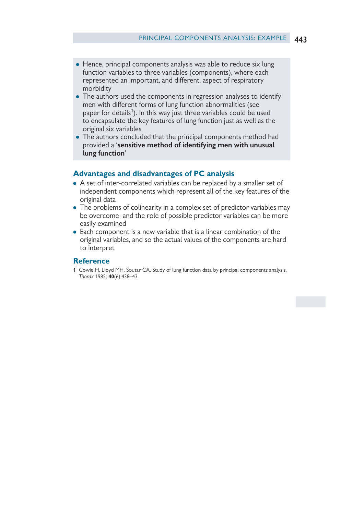- Hence, principal components analysis was able to reduce six lung function variables to three variables (components), where each represented an important, and different, aspect of respiratory morbidity
- The authors used the components in regression analyses to identify men with different forms of lung function abnormalities (see paper for details<sup>1</sup>). In this way just three variables could be used to encapsulate the key features of lung function just as well as the original six variables
- The authors concluded that the principal components method had provided a '**sensitive method of identifying men with unusual lung function**'

### **Advantages and disadvantages of PC analysis**

- A set of inter-correlated variables can be replaced by a smaller set of independent components which represent all of the key features of the original data
- The problems of colinearity in a complex set of predictor variables may be overcome and the role of possible predictor variables can be more easily examined
- Each component is a new variable that is a linear combination of the original variables, and so the actual values of the components are hard to interpret

### **Reference**

**1** Cowie H, Lloyd MH, Soutar CA. Study of lung function data by principal components analysis. *Thorax* 1985; **40**(6):438–43.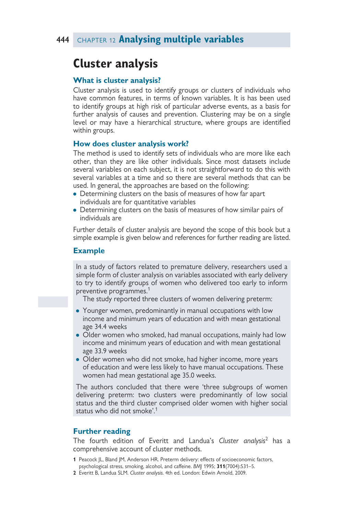# **Cluster analysis What is cluster analysis?**

Cluster analysis is used to identify groups or clusters of individuals who have common features, in terms of known variables. It is has been used to identify groups at high risk of particular adverse events, as a basis for further analysis of causes and prevention. Clustering may be on a single level or may have a hierarchical structure, where groups are identified within groups.

### **How does cluster analysis work?**

The method is used to identify sets of individuals who are more like each other, than they are like other individuals. Since most datasets include several variables on each subject, it is not straightforward to do this with several variables at a time and so there are several methods that can be used. In general, the approaches are based on the following:

- Determining clusters on the basis of measures of how far apart individuals are for quantitative variables
- Determining clusters on the basis of measures of how similar pairs of individuals are

Further details of cluster analysis are beyond the scope of this book but a simple example is given below and references for further reading are listed.

### **Example**

In a study of factors related to premature delivery, researchers used a simple form of cluster analysis on variables associated with early delivery to try to identify groups of women who delivered too early to inform preventive programmes.<sup>1</sup>

The study reported three clusters of women delivering preterm:

- Younger women, predominantly in manual occupations with low income and minimum years of education and with mean gestational age 34.4 weeks
- Older women who smoked, had manual occupations, mainly had low income and minimum years of education and with mean gestational age 33.9 weeks
- Older women who did not smoke, had higher income, more years of education and were less likely to have manual occupations. These women had mean gestational age 35.0 weeks.

The authors concluded that there were 'three subgroups of women delivering preterm: two clusters were predominantly of low social status and the third cluster comprised older women with higher social status who did not smoke'.<sup>1</sup>

### **Further reading**

The fourth edition of Everitt and Landua's *Cluster analysis*<sup>2</sup> has a comprehensive account of cluster methods.

- **1** Peacock JL, Bland JM, Anderson HR. Preterm delivery: effects of socioeconomic factors, psychological stress, smoking, alcohol, and caffeine. *BMJ* 1995; **311**(7004):531–5.
- **2** Everitt B, Landua SLM. *Cluster analysis*. 4th ed. London: Edwin Arnold, 2009.